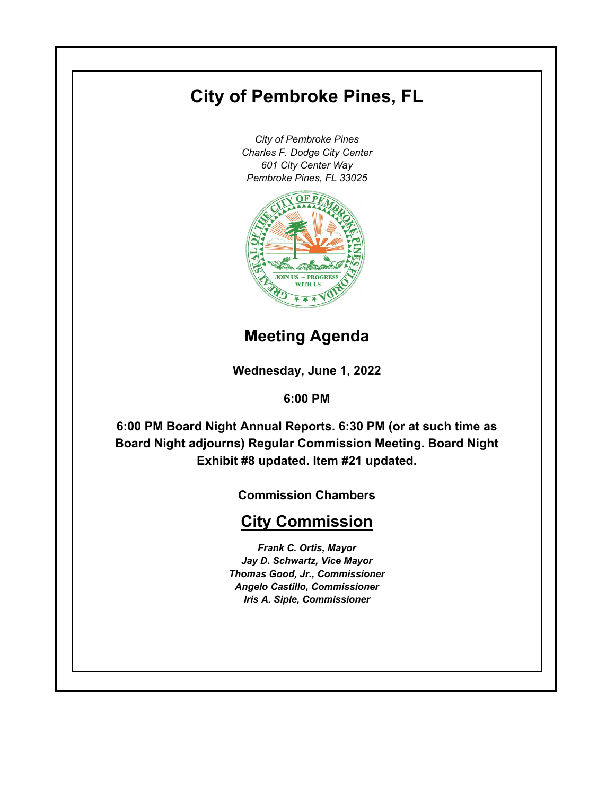# **City of Pembroke Pines, FL**

*City of Pembroke Pines Charles F. Dodge City Center 601 City Center Way Pembroke Pines, FL 33025*



# **Meeting Agenda**

**Wednesday, June 1, 2022**

# **6:00 PM**

**6:00 PM Board Night Annual Reports. 6:30 PM (or at such time as Board Night adjourns) Regular Commission Meeting. Board Night Exhibit #8 updated. Item #21 updated.**

**Commission Chambers**

# **City Commission**

*Frank C. Ortis, Mayor Jay D. Schwartz, Vice Mayor Thomas Good, Jr., Commissioner Angelo Castillo, Commissioner Iris A. Siple, Commissioner*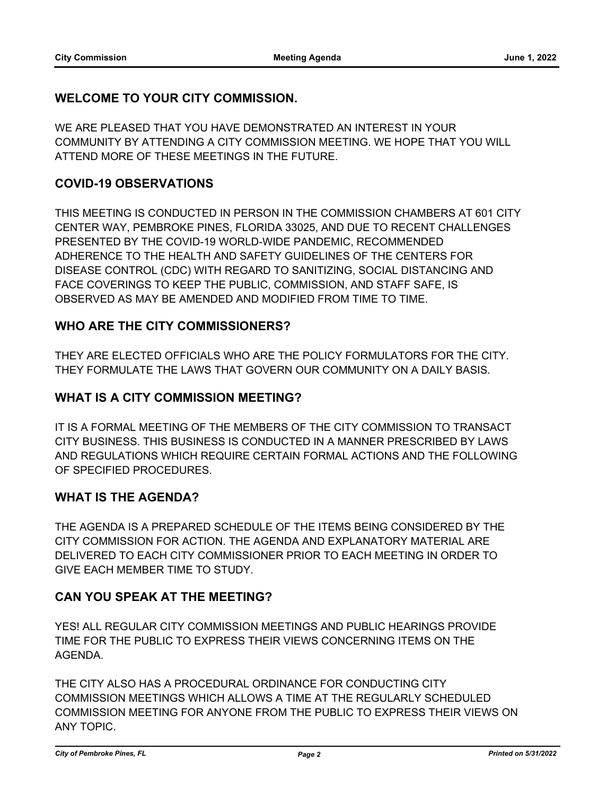# **WELCOME TO YOUR CITY COMMISSION.**

WE ARE PLEASED THAT YOU HAVE DEMONSTRATED AN INTEREST IN YOUR COMMUNITY BY ATTENDING A CITY COMMISSION MEETING. WE HOPE THAT YOU WILL ATTEND MORE OF THESE MEETINGS IN THE FUTURE.

# **COVID-19 OBSERVATIONS**

THIS MEETING IS CONDUCTED IN PERSON IN THE COMMISSION CHAMBERS AT 601 CITY CENTER WAY, PEMBROKE PINES, FLORIDA 33025, AND DUE TO RECENT CHALLENGES PRESENTED BY THE COVID-19 WORLD-WIDE PANDEMIC, RECOMMENDED ADHERENCE TO THE HEALTH AND SAFETY GUIDELINES OF THE CENTERS FOR DISEASE CONTROL (CDC) WITH REGARD TO SANITIZING, SOCIAL DISTANCING AND FACE COVERINGS TO KEEP THE PUBLIC, COMMISSION, AND STAFF SAFE, IS OBSERVED AS MAY BE AMENDED AND MODIFIED FROM TIME TO TIME.

# **WHO ARE THE CITY COMMISSIONERS?**

THEY ARE ELECTED OFFICIALS WHO ARE THE POLICY FORMULATORS FOR THE CITY. THEY FORMULATE THE LAWS THAT GOVERN OUR COMMUNITY ON A DAILY BASIS.

# **WHAT IS A CITY COMMISSION MEETING?**

IT IS A FORMAL MEETING OF THE MEMBERS OF THE CITY COMMISSION TO TRANSACT CITY BUSINESS. THIS BUSINESS IS CONDUCTED IN A MANNER PRESCRIBED BY LAWS AND REGULATIONS WHICH REQUIRE CERTAIN FORMAL ACTIONS AND THE FOLLOWING OF SPECIFIED PROCEDURES.

# **WHAT IS THE AGENDA?**

THE AGENDA IS A PREPARED SCHEDULE OF THE ITEMS BEING CONSIDERED BY THE CITY COMMISSION FOR ACTION. THE AGENDA AND EXPLANATORY MATERIAL ARE DELIVERED TO EACH CITY COMMISSIONER PRIOR TO EACH MEETING IN ORDER TO GIVE EACH MEMBER TIME TO STUDY.

# **CAN YOU SPEAK AT THE MEETING?**

YES! ALL REGULAR CITY COMMISSION MEETINGS AND PUBLIC HEARINGS PROVIDE TIME FOR THE PUBLIC TO EXPRESS THEIR VIEWS CONCERNING ITEMS ON THE AGENDA.

THE CITY ALSO HAS A PROCEDURAL ORDINANCE FOR CONDUCTING CITY COMMISSION MEETINGS WHICH ALLOWS A TIME AT THE REGULARLY SCHEDULED COMMISSION MEETING FOR ANYONE FROM THE PUBLIC TO EXPRESS THEIR VIEWS ON ANY TOPIC.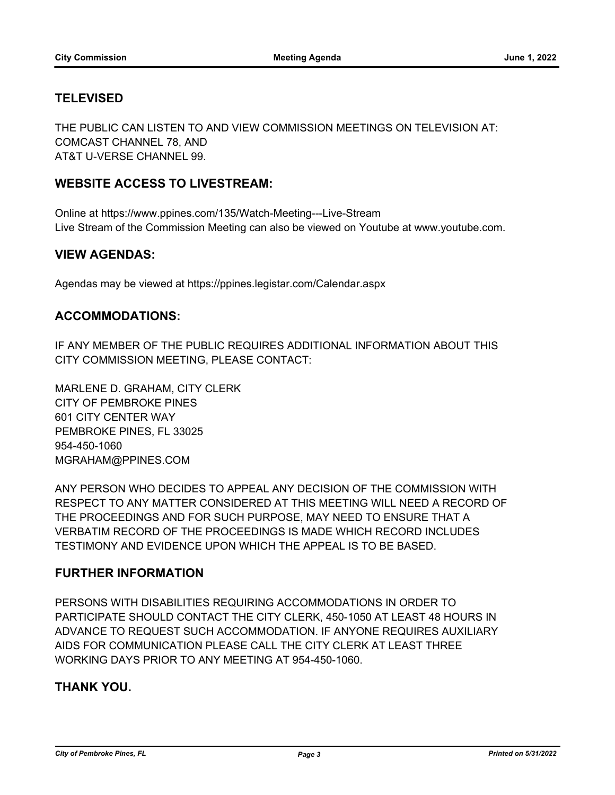# **TELEVISED**

THE PUBLIC CAN LISTEN TO AND VIEW COMMISSION MEETINGS ON TELEVISION AT: COMCAST CHANNEL 78, AND AT&T U-VERSE CHANNEL 99.

# **WEBSITE ACCESS TO LIVESTREAM:**

Online at https://www.ppines.com/135/Watch-Meeting---Live-Stream Live Stream of the Commission Meeting can also be viewed on Youtube at www.youtube.com.

#### **VIEW AGENDAS:**

Agendas may be viewed at https://ppines.legistar.com/Calendar.aspx

#### **ACCOMMODATIONS:**

IF ANY MEMBER OF THE PUBLIC REQUIRES ADDITIONAL INFORMATION ABOUT THIS CITY COMMISSION MEETING, PLEASE CONTACT:

MARLENE D. GRAHAM, CITY CLERK CITY OF PEMBROKE PINES 601 CITY CENTER WAY PEMBROKE PINES, FL 33025 954-450-1060 MGRAHAM@PPINES.COM

ANY PERSON WHO DECIDES TO APPEAL ANY DECISION OF THE COMMISSION WITH RESPECT TO ANY MATTER CONSIDERED AT THIS MEETING WILL NEED A RECORD OF THE PROCEEDINGS AND FOR SUCH PURPOSE, MAY NEED TO ENSURE THAT A VERBATIM RECORD OF THE PROCEEDINGS IS MADE WHICH RECORD INCLUDES TESTIMONY AND EVIDENCE UPON WHICH THE APPEAL IS TO BE BASED.

# **FURTHER INFORMATION**

PERSONS WITH DISABILITIES REQUIRING ACCOMMODATIONS IN ORDER TO PARTICIPATE SHOULD CONTACT THE CITY CLERK, 450-1050 AT LEAST 48 HOURS IN ADVANCE TO REQUEST SUCH ACCOMMODATION. IF ANYONE REQUIRES AUXILIARY AIDS FOR COMMUNICATION PLEASE CALL THE CITY CLERK AT LEAST THREE WORKING DAYS PRIOR TO ANY MEETING AT 954-450-1060.

# **THANK YOU.**

*City of Pembroke Pines, FL Page 3 Printed on 5/31/2022*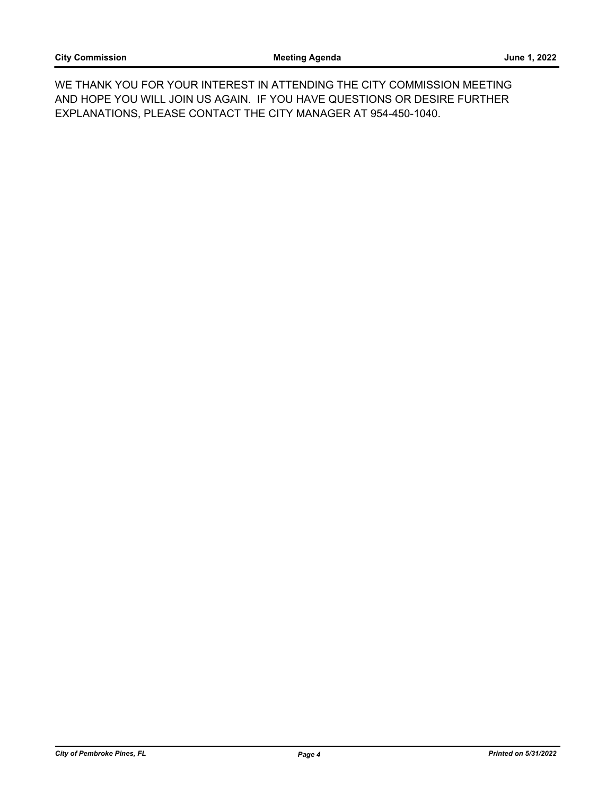WE THANK YOU FOR YOUR INTEREST IN ATTENDING THE CITY COMMISSION MEETING AND HOPE YOU WILL JOIN US AGAIN. IF YOU HAVE QUESTIONS OR DESIRE FURTHER EXPLANATIONS, PLEASE CONTACT THE CITY MANAGER AT 954-450-1040.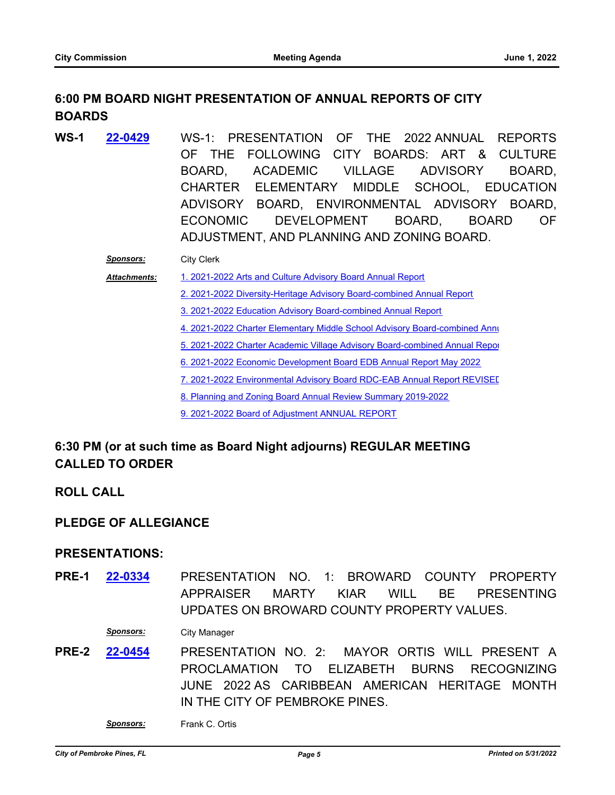# **6:00 PM BOARD NIGHT PRESENTATION OF ANNUAL REPORTS OF CITY BOARDS**

**WS-1** WS-1: PRESENTATION OF THE 2022 ANNUAL REPORTS OF THE FOLLOWING CITY BOARDS: ART & CULTURE BOARD, ACADEMIC VILLAGE ADVISORY BOARD, CHARTER ELEMENTARY MIDDLE SCHOOL, EDUCATION ADVISORY BOARD, ENVIRONMENTAL ADVISORY BOARD, ECONOMIC DEVELOPMENT BOARD, BOARD OF ADJUSTMENT, AND PLANNING AND ZONING BOARD. **[22-0429](http://ppines.legistar.com/gateway.aspx?m=l&id=/matter.aspx?key=15363)**

#### *Sponsors:* City Clerk

[1. 2021-2022 Arts and Culture Advisory Board Annual Report](http://ppines.legistar.com/gateway.aspx?M=F&ID=6b4ddb40-5110-443c-8b95-8fbeecf3ecf4.pdf) *Attachments:*

[2. 2021-2022 Diversity-Heritage Advisory Board-combined Annual Report](http://ppines.legistar.com/gateway.aspx?M=F&ID=19e539a4-f5f2-4635-9da3-fa1eef0f87b8.pdf)

[3. 2021-2022 Education Advisory Board-combined Annual Report](http://ppines.legistar.com/gateway.aspx?M=F&ID=fb0584e9-aded-42f6-bf62-0fdd360e148c.pdf)

[4. 2021-2022 Charter Elementary Middle School Advisory Board-combined Annu](http://ppines.legistar.com/gateway.aspx?M=F&ID=627e075e-7476-49e5-b391-e050fb83be15.pdf)al

[5. 2021-2022 Charter Academic Village Advisory Board-combined Annual Repor](http://ppines.legistar.com/gateway.aspx?M=F&ID=a71b7392-efe8-4207-a084-3cd441942bda.pdf)t

[6. 2021-2022 Economic Development Board EDB Annual Report May 2022](http://ppines.legistar.com/gateway.aspx?M=F&ID=07f2848a-6543-4551-b864-bccae64e692f.pdf)

[7. 2021-2022 Environmental Advisory Board RDC-EAB Annual Report REVISED](http://ppines.legistar.com/gateway.aspx?M=F&ID=7622234a-f87b-4251-8bbf-3fa033a462b6.pdf)

[8. Planning and Zoning Board Annual Review Summary 2019-2022](http://ppines.legistar.com/gateway.aspx?M=F&ID=fa596fbf-6c9a-4632-8b78-e0951a5fe672.pdf)

[9. 2021-2022 Board of Adjustment ANNUAL REPORT](http://ppines.legistar.com/gateway.aspx?M=F&ID=cc969478-8cf6-41c1-9447-e4ba57f659b3.pdf)

# **6:30 PM (or at such time as Board Night adjourns) REGULAR MEETING CALLED TO ORDER**

**ROLL CALL**

#### **PLEDGE OF ALLEGIANCE**

#### **PRESENTATIONS:**

**PRE-1 22-0334** PRESENTATION NO. 1: BROWARD COUNTY PROPERTY APPRAISER MARTY KIAR WILL BE PRESENTING UPDATES ON BROWARD COUNTY PROPERTY VALUES. **[22-0334](http://ppines.legistar.com/gateway.aspx?m=l&id=/matter.aspx?key=15272)**

*Sponsors:* City Manager

**PRE-2 22-0454** PRESENTATION NO. 2: MAYOR ORTIS WILL PRESENT A PROCLAMATION TO ELIZABETH BURNS RECOGNIZING JUNE 2022 AS CARIBBEAN AMERICAN HERITAGE MONTH IN THE CITY OF PEMBROKE PINES. **[22-0454](http://ppines.legistar.com/gateway.aspx?m=l&id=/matter.aspx?key=15388)**

*Sponsors:* Frank C. Ortis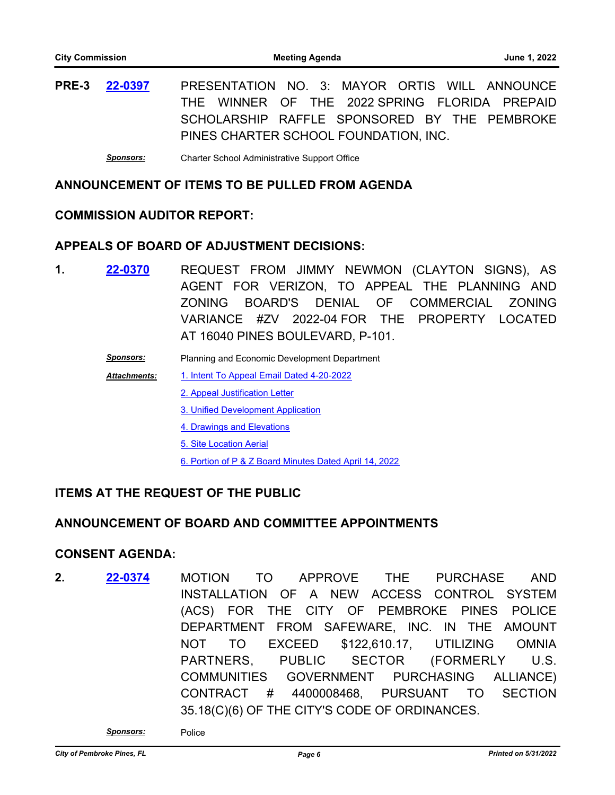**PRE-3** PRESENTATION NO. 3: MAYOR ORTIS WILL ANNOUNCE THE WINNER OF THE 2022 SPRING FLORIDA PREPAID SCHOLARSHIP RAFFLE SPONSORED BY THE PEMBROKE PINES CHARTER SCHOOL FOUNDATION, INC. **[22-0397](http://ppines.legistar.com/gateway.aspx?m=l&id=/matter.aspx?key=15335)**

*Sponsors:* Charter School Administrative Support Office

# **ANNOUNCEMENT OF ITEMS TO BE PULLED FROM AGENDA**

#### **COMMISSION AUDITOR REPORT:**

#### **APPEALS OF BOARD OF ADJUSTMENT DECISIONS:**

- 1. **22-0370** REQUEST FROM JIMMY NEWMON (CLAYTON SIGNS), AS AGENT FOR VERIZON, TO APPEAL THE PLANNING AND ZONING BOARD'S DENIAL OF COMMERCIAL ZONING VARIANCE #ZV 2022-04 FOR THE PROPERTY LOCATED AT 16040 PINES BOULEVARD, P-101. **[22-0370](http://ppines.legistar.com/gateway.aspx?m=l&id=/matter.aspx?key=15307)**
	- *Sponsors:* Planning and Economic Development Department
	- [1. Intent To Appeal Email Dated 4-20-2022](http://ppines.legistar.com/gateway.aspx?M=F&ID=fb869d2c-fc8e-43fc-9461-65dc613485bd.pdf) *Attachments:*
		- [2. Appeal Justification Letter](http://ppines.legistar.com/gateway.aspx?M=F&ID=cc318ba7-ddab-4ab3-a5a8-ba24045e3d79.pdf)
		- [3. Unified Development Application](http://ppines.legistar.com/gateway.aspx?M=F&ID=99a5a5cf-984c-4515-ae4e-52018e029a5e.pdf)
		- [4. Drawings and Elevations](http://ppines.legistar.com/gateway.aspx?M=F&ID=74b6c291-3817-47f6-b73a-2dad571bea74.pdf)
		- [5. Site Location Aerial](http://ppines.legistar.com/gateway.aspx?M=F&ID=b3271f1f-1a21-461b-960a-b1dcf9929a47.pdf)
		- [6. Portion of P & Z Board Minutes Dated April 14, 2022](http://ppines.legistar.com/gateway.aspx?M=F&ID=0a39756f-5074-4d35-9a48-d69617b84c87.pdf)

#### **ITEMS AT THE REQUEST OF THE PUBLIC**

#### **ANNOUNCEMENT OF BOARD AND COMMITTEE APPOINTMENTS**

#### **CONSENT AGENDA:**

**2. 22-0374** MOTION TO APPROVE THE PURCHASE AND INSTALLATION OF A NEW ACCESS CONTROL SYSTEM (ACS) FOR THE CITY OF PEMBROKE PINES POLICE DEPARTMENT FROM SAFEWARE, INC. IN THE AMOUNT NOT TO EXCEED \$122,610.17, UTILIZING OMNIA PARTNERS, PUBLIC SECTOR (FORMERLY U.S. COMMUNITIES GOVERNMENT PURCHASING ALLIANCE) CONTRACT # 4400008468, PURSUANT TO SECTION 35.18(C)(6) OF THE CITY'S CODE OF ORDINANCES. **[22-0374](http://ppines.legistar.com/gateway.aspx?m=l&id=/matter.aspx?key=15310)**

*Sponsors:* Police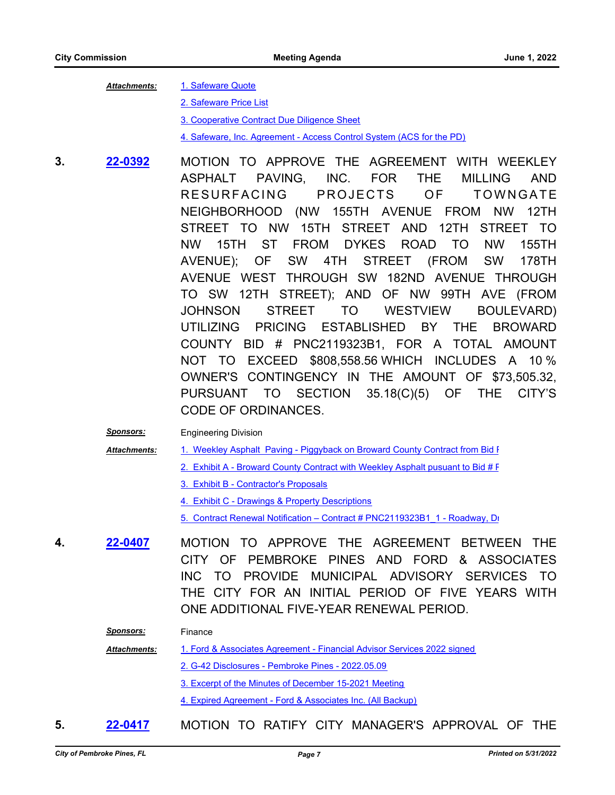#### [1. Safeware Quote](http://ppines.legistar.com/gateway.aspx?M=F&ID=9bfc8be7-40d1-47aa-9133-c0d4aee0461a.pdf) *Attachments:*

[2. Safeware Price List](http://ppines.legistar.com/gateway.aspx?M=F&ID=3bdee331-f715-4bac-9ebe-08c04d7aaf52.pdf)

[3. Cooperative Contract Due Diligence Sheet](http://ppines.legistar.com/gateway.aspx?M=F&ID=7ee9f9fa-5409-419d-ab9a-948b28b2563b.pdf)

[4. Safeware, Inc. Agreement - Access Control System \(ACS for the PD\)](http://ppines.legistar.com/gateway.aspx?M=F&ID=1491702b-a83b-4fa7-8ef2-38bd33c0edd0.pdf)

- **3. 22-0392 MOTION TO APPROVE THE AGREEMENT WITH WEEKLEY** ASPHALT PAVING, INC. FOR THE MILLING AND RESURFACING PROJECTS OF TOWNGATE NEIGHBORHOOD (NW 155TH AVENUE FROM NW 12TH STREET TO NW 15TH STREET AND 12TH STREET TO NW 15TH ST FROM DYKES ROAD TO NW 155TH AVENUE); OF SW 4TH STREET (FROM SW 178TH AVENUE WEST THROUGH SW 182ND AVENUE THROUGH TO SW 12TH STREET); AND OF NW 99TH AVE (FROM JOHNSON STREET TO WESTVIEW BOULEVARD) UTILIZING PRICING ESTABLISHED BY THE BROWARD COUNTY BID # PNC2119323B1, FOR A TOTAL AMOUNT NOT TO EXCEED \$808,558.56 WHICH INCLUDES A 10 % OWNER'S CONTINGENCY IN THE AMOUNT OF \$73,505.32, PURSUANT TO SECTION 35.18(C)(5) OF THE CITY'S CODE OF ORDINANCES. **[22-0392](http://ppines.legistar.com/gateway.aspx?m=l&id=/matter.aspx?key=15330)**
	- *Sponsors:* Engineering Division
	- 1. Weekley Asphalt Paving Piggyback on Broward County Contract from Bid F *Attachments:*
		- 2. Exhibit A Broward County Contract with Weekley Asphalt pusuant to Bid # F
			- [3. Exhibit B Contractor's Proposals](http://ppines.legistar.com/gateway.aspx?M=F&ID=194b1cce-6fe1-49a0-967b-6355c8c8ebd6.pdf)
			- [4. Exhibit C Drawings & Property Descriptions](http://ppines.legistar.com/gateway.aspx?M=F&ID=b5690ded-18fa-4242-8e9b-4265a3dc3ffe.pdf)
			- [5. Contract Renewal Notification Contract # PNC2119323B1\\_1 Roadway, Dr](http://ppines.legistar.com/gateway.aspx?M=F&ID=922733a7-2d78-420a-a77b-d9181d02fbe6.pdf)ainage
- **4.** MOTION TO APPROVE THE AGREEMENT BETWEEN THE CITY OF PEMBROKE PINES AND FORD & ASSOCIATES INC TO PROVIDE MUNICIPAL ADVISORY SERVICES TO THE CITY FOR AN INITIAL PERIOD OF FIVE YEARS WITH ONE ADDITIONAL FIVE-YEAR RENEWAL PERIOD. **[22-0407](http://ppines.legistar.com/gateway.aspx?m=l&id=/matter.aspx?key=15345)**

*Sponsors:* Finance

[1. Ford & Associates Agreement - Financial Advisor Services 2022 signed](http://ppines.legistar.com/gateway.aspx?M=F&ID=b32ba912-39f3-4121-bb79-86c2fc30c7d5.pdf) *Attachments:*

[2. G-42 Disclosures - Pembroke Pines - 2022.05.09](http://ppines.legistar.com/gateway.aspx?M=F&ID=46c5c4b7-93d0-4fa8-a586-1e5df4a3f2f8.pdf)

[3. Excerpt of the Minutes of December 15-2021 Meeting](http://ppines.legistar.com/gateway.aspx?M=F&ID=b96da9fc-5cef-45d7-b754-464e9cf47141.pdf)

[4. Expired Agreement - Ford & Associates Inc. \(All Backup\)](http://ppines.legistar.com/gateway.aspx?M=F&ID=5d63345f-a297-4774-b031-fba922b26213.pdf)

**5. [22-0417](http://ppines.legistar.com/gateway.aspx?m=l&id=/matter.aspx?key=15351)** MOTION TO RATIFY CITY MANAGER'S APPROVAL OF THE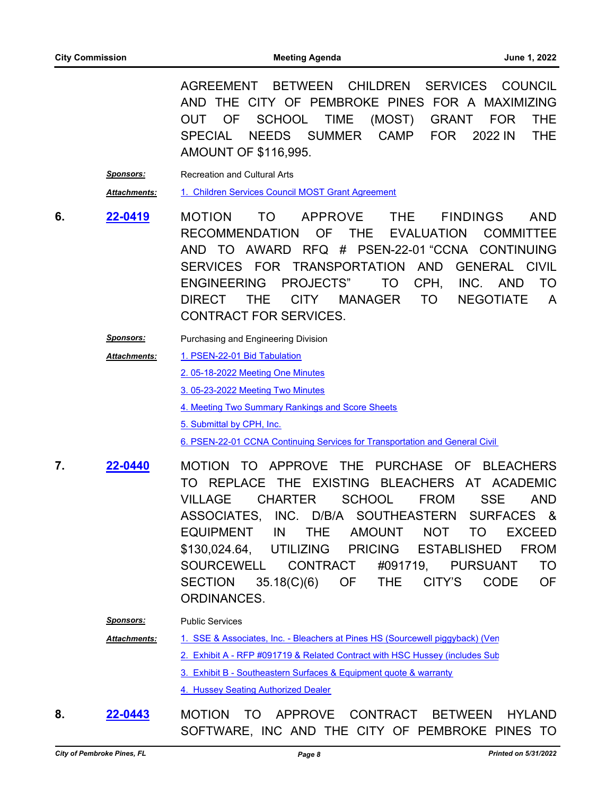AGREEMENT BETWEEN CHILDREN SERVICES COUNCIL AND THE CITY OF PEMBROKE PINES FOR A MAXIMIZING OUT OF SCHOOL TIME (MOST) GRANT FOR THE SPECIAL NEEDS SUMMER CAMP FOR 2022 IN THE AMOUNT OF \$116,995.

**Sponsors:** Recreation and Cultural Arts *Attachments:* [1. Children Services Council MOST Grant Agreement](http://ppines.legistar.com/gateway.aspx?M=F&ID=dc3bab25-ff6e-4c19-91e9-f1aed65bcedb.pdf)

- **6. <mark>22-0419</mark> MOTION TO APPROVE THE FINDINGS AND** RECOMMENDATION OF THE EVALUATION COMMITTEE AND TO AWARD RFQ # PSEN-22-01 "CCNA CONTINUING SERVICES FOR TRANSPORTATION AND GENERAL CIVIL ENGINEERING PROJECTS" TO CPH, INC. AND TO DIRECT THE CITY MANAGER TO NEGOTIATE A CONTRACT FOR SERVICES. **[22-0419](http://ppines.legistar.com/gateway.aspx?m=l&id=/matter.aspx?key=15353)**
	- **Sponsors:** Purchasing and Engineering Division
	- [1. PSEN-22-01 Bid Tabulation](http://ppines.legistar.com/gateway.aspx?M=F&ID=eaca9540-408f-4d97-b6cb-ca5892d5bf3b.pdf) [2. 05-18-2022 Meeting One Minutes](http://ppines.legistar.com/gateway.aspx?M=F&ID=9e305e52-f880-4a8b-b054-fd90ceae4f07.pdf) [3. 05-23-2022 Meeting Two Minutes](http://ppines.legistar.com/gateway.aspx?M=F&ID=db4dd374-dfb5-476c-b6c4-889b7c81fc82.pdf) [4. Meeting Two Summary Rankings and Score Sheets](http://ppines.legistar.com/gateway.aspx?M=F&ID=d90e44dc-d9cd-4c0c-8f87-ae9dfae45e2b.pdf) [5. Submittal by CPH, Inc.](http://ppines.legistar.com/gateway.aspx?M=F&ID=2eeff9a3-2554-4f2f-b868-b4051bb36d55.pdf) 6. PSEN-22-01 CCNA Continuing Services for Transportation and General Civil *Attachments:*
- **7. 22-0440 MOTION TO APPROVE THE PURCHASE OF BLEACHERS** TO REPLACE THE EXISTING BLEACHERS AT ACADEMIC VILLAGE CHARTER SCHOOL FROM SSE AND ASSOCIATES, INC. D/B/A SOUTHEASTERN SURFACES & EQUIPMENT IN THE AMOUNT NOT TO EXCEED \$130,024.64, UTILIZING PRICING ESTABLISHED FROM SOURCEWELL CONTRACT #091719, PURSUANT TO SECTION 35.18(C)(6) OF THE CITY'S CODE OF ORDINANCES. **[22-0440](http://ppines.legistar.com/gateway.aspx?m=l&id=/matter.aspx?key=15374)**

*Sponsors:* Public Services

[1. SSE & Associates, Inc. - Bleachers at Pines HS \(Sourcewell piggyback\) \(Ven](http://ppines.legistar.com/gateway.aspx?M=F&ID=2d4b367b-10ac-492f-b080-2bb6681c2694.pdf) [2. Exhibit A - RFP #091719 & Related Contract with HSC Hussey \(includes Sub](http://ppines.legistar.com/gateway.aspx?M=F&ID=5dbb2f76-6bcf-45ff-aa5e-c2d1eb838e4e.pdf) [3. Exhibit B - Southeastern Surfaces & Equipment quote & warranty](http://ppines.legistar.com/gateway.aspx?M=F&ID=eb88ea04-cadf-4025-8cd6-a0550f86c5b5.pdf) [4. Hussey Seating Authorized Dealer](http://ppines.legistar.com/gateway.aspx?M=F&ID=9371b09c-1edc-4f80-8d10-155efecf7bac.pdf) *Attachments:*

8. **22-0443** MOTION TO APPROVE CONTRACT BETWEEN HYLAND SOFTWARE, INC AND THE CITY OF PEMBROKE PINES TO **[22-0443](http://ppines.legistar.com/gateway.aspx?m=l&id=/matter.aspx?key=15377)**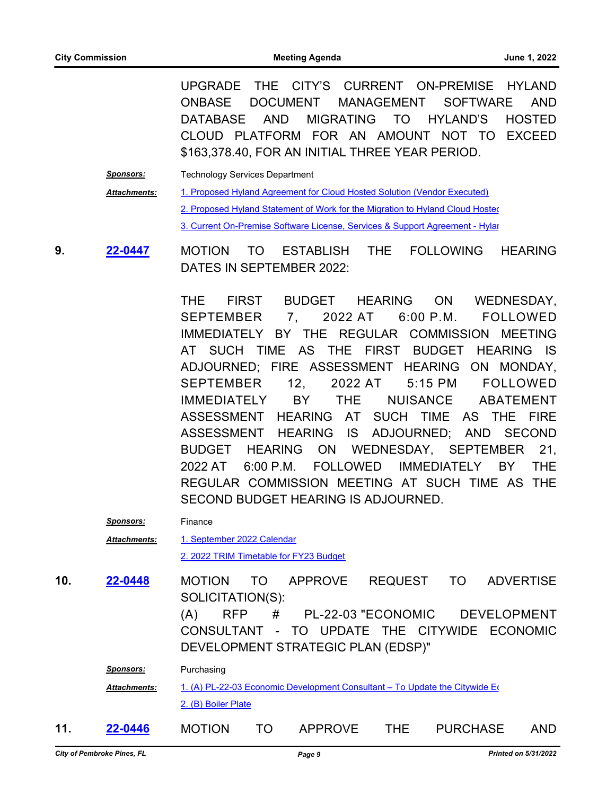UPGRADE THE CITY'S CURRENT ON-PREMISE HYLAND ONBASE DOCUMENT MANAGEMENT SOFTWARE AND DATABASE AND MIGRATING TO HYLAND'S HOSTED CLOUD PLATFORM FOR AN AMOUNT NOT TO EXCEED \$163,378.40, FOR AN INITIAL THREE YEAR PERIOD.

**Sponsors:** Technology Services Department [1. Proposed Hyland Agreement for Cloud Hosted Solution \(Vendor Executed\)](http://ppines.legistar.com/gateway.aspx?M=F&ID=1fb9e0d7-ca96-4449-b05b-ca06b37be5f2.pdf) [2. Proposed Hyland Statement of Work for the Migration to Hyland Cloud Hosted](http://ppines.legistar.com/gateway.aspx?M=F&ID=6f5ce559-0fbf-4490-a6b7-b7a599a25c54.pdf) 3. Current On-Premise Software License, Services & Support Agreement - Hylar *Attachments:*

**9. 22-0447 MOTION TO ESTABLISH THE FOLLOWING HEARING** DATES IN SEPTEMBER 2022: **[22-0447](http://ppines.legistar.com/gateway.aspx?m=l&id=/matter.aspx?key=15381)**

> THE FIRST BUDGET HEARING ON WEDNESDAY, SEPTEMBER 7, 2022 AT 6:00 P.M. FOLLOWED IMMEDIATELY BY THE REGULAR COMMISSION MEETING AT SUCH TIME AS THE FIRST BUDGET HEARING IS ADJOURNED; FIRE ASSESSMENT HEARING ON MONDAY, SEPTEMBER 12, 2022 AT 5:15 PM FOLLOWED IMMEDIATELY BY THE NUISANCE ABATEMENT ASSESSMENT HEARING AT SUCH TIME AS THE FIRE ASSESSMENT HEARING IS ADJOURNED; AND SECOND BUDGET HEARING ON WEDNESDAY, SEPTEMBER 21, 2022 AT 6:00 P.M. FOLLOWED IMMEDIATELY BY THE REGULAR COMMISSION MEETING AT SUCH TIME AS THE SECOND BUDGET HEARING IS ADJOURNED.

|     | <u>Sponsors:</u>    | Finance                                                                                                                                                                      |
|-----|---------------------|------------------------------------------------------------------------------------------------------------------------------------------------------------------------------|
|     | <b>Attachments:</b> | 1. September 2022 Calendar                                                                                                                                                   |
|     |                     | 2. 2022 TRIM Timetable for FY23 Budget                                                                                                                                       |
| 10. | 22-0448             | <b>APPROVE</b><br><b>REQUEST</b><br><b>ADVERTISE</b><br><b>MOTION</b><br>TO<br>TO.<br>SOLICITATION(S):                                                                       |
|     |                     | #<br>PL-22-03 "ECONOMIC<br><b>DEVELOPMENT</b><br><b>RFP</b><br>(A)<br>- TO UPDATE THE CITYWIDE<br><b>CONSULTANT</b><br><b>ECONOMIC</b><br>DEVELOPMENT STRATEGIC PLAN (EDSP)" |
|     | <b>Sponsors:</b>    | Purchasing                                                                                                                                                                   |
|     | <b>Attachments:</b> | 1. (A) PL-22-03 Economic Development Consultant - To Update the Citywide Eq                                                                                                  |
|     |                     | 2. (B) Boiler Plate                                                                                                                                                          |
| 11. | 22-0446             | THE.<br><b>APPROVE</b><br><b>PURCHASE</b><br><b>MOTION</b><br><b>AND</b><br>TO                                                                                               |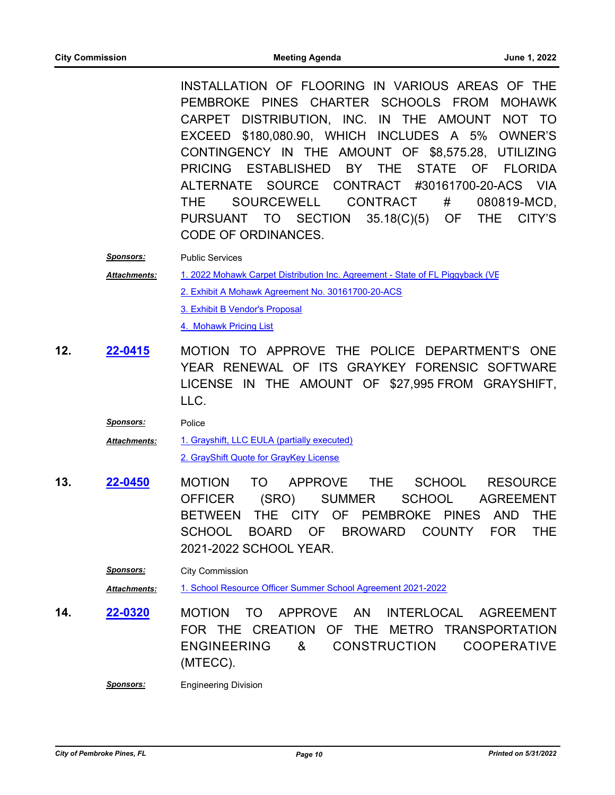INSTALLATION OF FLOORING IN VARIOUS AREAS OF THE PEMBROKE PINES CHARTER SCHOOLS FROM MOHAWK CARPET DISTRIBUTION, INC. IN THE AMOUNT NOT TO EXCEED \$180,080.90, WHICH INCLUDES A 5% OWNER'S CONTINGENCY IN THE AMOUNT OF \$8,575.28, UTILIZING PRICING ESTABLISHED BY THE STATE OF FLORIDA ALTERNATE SOURCE CONTRACT #30161700-20-ACS VIA THE SOURCEWELL CONTRACT # 080819-MCD, PURSUANT TO SECTION 35.18(C)(5) OF THE CITY'S CODE OF ORDINANCES.

*Sponsors:* Public Services

[1. 2022 Mohawk Carpet Distribution Inc. Agreement - State of FL Piggyback \(VE](http://ppines.legistar.com/gateway.aspx?M=F&ID=d06d481f-0ab3-4da7-b545-f3bc42568231.pdf)) [2. Exhibit A Mohawk Agreement No. 30161700-20-ACS](http://ppines.legistar.com/gateway.aspx?M=F&ID=c641e99b-6d31-4edc-bf43-4cb466fd29ee.pdf) [3. Exhibit B Vendor's Proposal](http://ppines.legistar.com/gateway.aspx?M=F&ID=eac69598-7de1-43c1-8c89-95cab3d851bf.pdf) *Attachments:*

[4. Mohawk Pricing List](http://ppines.legistar.com/gateway.aspx?M=F&ID=cb8bd7b8-d2b2-42f0-95e1-5bd836ed86e4.pdf)

**12. 22-0415 MOTION TO APPROVE THE POLICE DEPARTMENT'S ONE** YEAR RENEWAL OF ITS GRAYKEY FORENSIC SOFTWARE LICENSE IN THE AMOUNT OF \$27,995 FROM GRAYSHIFT, LLC. **[22-0415](http://ppines.legistar.com/gateway.aspx?m=l&id=/matter.aspx?key=15349)**

| Sponsors:           | <b>Police</b>                               |
|---------------------|---------------------------------------------|
| <b>Attachments:</b> | 1. Grayshift, LLC EULA (partially executed) |
|                     | 2. GrayShift Quote for GrayKey License      |

13. **22-0450** MOTION TO APPROVE THE SCHOOL RESOURCE OFFICER (SRO) SUMMER SCHOOL AGREEMENT BETWEEN THE CITY OF PEMBROKE PINES AND THE SCHOOL BOARD OF BROWARD COUNTY FOR THE 2021-2022 SCHOOL YEAR. **[22-0450](http://ppines.legistar.com/gateway.aspx?m=l&id=/matter.aspx?key=15384)**

*Sponsors:* City Commission *Attachments:* [1. School Resource Officer Summer School Agreement 2021-2022](http://ppines.legistar.com/gateway.aspx?M=F&ID=813d0e80-b74f-473f-8283-5bb9ad2a5b09.pdf)

14. **22-0320** MOTION TO APPROVE AN INTERLOCAL AGREEMENT FOR THE CREATION OF THE METRO TRANSPORTATION ENGINEERING & CONSTRUCTION COOPERATIVE (MTECC). **[22-0320](http://ppines.legistar.com/gateway.aspx?m=l&id=/matter.aspx?key=15258)**

*Sponsors:* Engineering Division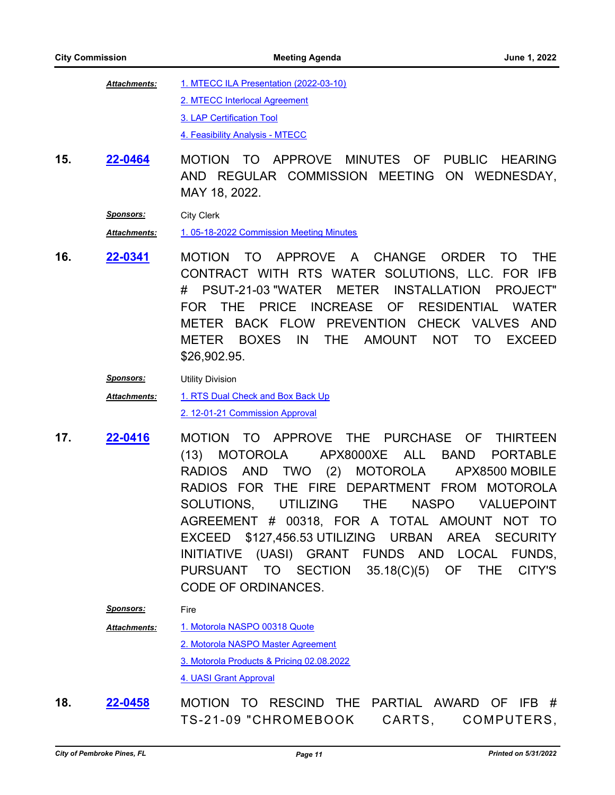| <b>Attachments:</b> | 1. MTECC ILA Presentation (2022-03-10) |
|---------------------|----------------------------------------|
|                     | 2. MTECC Interlocal Agreement          |
|                     | 3. LAP Certification Tool              |
|                     | 4. Feasibility Analysis - MTECC        |

15. 22-0464 MOTION TO APPROVE MINUTES OF PUBLIC HEARING AND REGULAR COMMISSION MEETING ON WEDNESDAY, MAY 18, 2022. **[22-0464](http://ppines.legistar.com/gateway.aspx?m=l&id=/matter.aspx?key=15398)**

*Sponsors:* City Clerk

*Attachments:* [1. 05-18-2022 Commission Meeting Minutes](http://ppines.legistar.com/gateway.aspx?M=F&ID=2a35acc2-9c81-480a-a71c-434eee2d4b00.pdf)

**16.** MOTION TO APPROVE A CHANGE ORDER TO THE CONTRACT WITH RTS WATER SOLUTIONS, LLC. FOR IFB # PSUT-21-03 "WATER METER INSTALLATION PROJECT" FOR THE PRICE INCREASE OF RESIDENTIAL WATER METER BACK FLOW PREVENTION CHECK VALVES AND METER BOXES IN THE AMOUNT NOT TO EXCEED \$26,902.95. **[22-0341](http://ppines.legistar.com/gateway.aspx?m=l&id=/matter.aspx?key=15279)**

*Sponsors:* Utility Division

[1. RTS Dual Check and Box Back Up](http://ppines.legistar.com/gateway.aspx?M=F&ID=ccbc4e08-78f2-4267-8e7c-6f314c81524d.pdf) [2. 12-01-21 Commission Approval](http://ppines.legistar.com/gateway.aspx?M=F&ID=a7a6e068-aab6-459f-a5ce-43aaa2f97f61.pdf) *Attachments:*

- **17. 22-0416 MOTION TO APPROVE THE PURCHASE OF THIRTEEN** (13) MOTOROLA APX8000XE ALL BAND PORTABLE RADIOS AND TWO (2) MOTOROLA APX8500 MOBILE RADIOS FOR THE FIRE DEPARTMENT FROM MOTOROLA SOLUTIONS, UTILIZING THE NASPO VALUEPOINT AGREEMENT # 00318, FOR A TOTAL AMOUNT NOT TO EXCEED \$127,456.53 UTILIZING URBAN AREA SECURITY INITIATIVE (UASI) GRANT FUNDS AND LOCAL FUNDS, PURSUANT TO SECTION 35.18(C)(5) OF THE CITY'S CODE OF ORDINANCES. **[22-0416](http://ppines.legistar.com/gateway.aspx?m=l&id=/matter.aspx?key=15350)**
	- *Sponsors:* Fire
	- [1. Motorola NASPO 00318 Quote](http://ppines.legistar.com/gateway.aspx?M=F&ID=fc7e60ff-cd2f-4fdc-bcd1-28107285fb20.pdf) [2. Motorola NASPO Master Agreement](http://ppines.legistar.com/gateway.aspx?M=F&ID=07b6e64e-53b9-4413-96c8-c748811c8687.pdf) [3. Motorola Products & Pricing 02.08.2022](http://ppines.legistar.com/gateway.aspx?M=F&ID=a5bfc919-3dc6-4ccd-8a0a-69a252528a9c.pdf) [4. UASI Grant Approval](http://ppines.legistar.com/gateway.aspx?M=F&ID=49289e34-e75f-4331-aec9-3fd4942a16e4.pdf) *Attachments:*
- **18. 22-0458** MOTION TO RESCIND THE PARTIAL AWARD OF IFB # TS-21-09 "CHROMEBOOK CARTS, COMPUTERS, **[22-0458](http://ppines.legistar.com/gateway.aspx?m=l&id=/matter.aspx?key=15392)**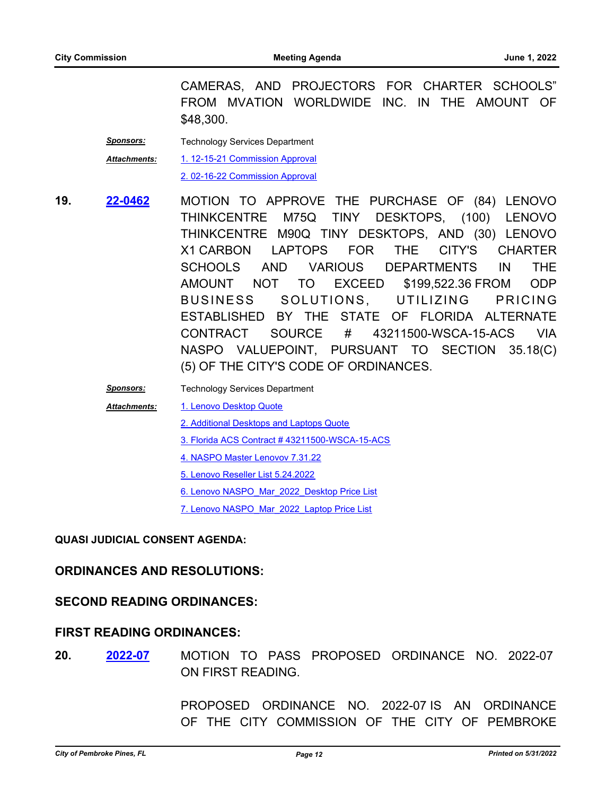CAMERAS, AND PROJECTORS FOR CHARTER SCHOOLS" FROM MVATION WORLDWIDE INC. IN THE AMOUNT OF \$48,300.

| <b>Sponsors:</b>    | <b>Technology Services Department</b> |
|---------------------|---------------------------------------|
| <b>Attachments:</b> | 1. 12-15-21 Commission Approval       |
|                     | 2.02-16-22 Commission Approval        |

19. **22-0462** MOTION TO APPROVE THE PURCHASE OF (84) LENOVO THINKCENTRE M75Q TINY DESKTOPS, (100) LENOVO THINKCENTRE M90Q TINY DESKTOPS, AND (30) LENOVO X1 CARBON LAPTOPS FOR THE CITY'S CHARTER SCHOOLS AND VARIOUS DEPARTMENTS IN THE AMOUNT NOT TO EXCEED \$199,522.36 FROM ODP BUSINESS SOLUTIONS, UTILIZING PRICING ESTABLISHED BY THE STATE OF FLORIDA ALTERNATE CONTRACT SOURCE # 43211500-WSCA-15-ACS VIA NASPO VALUEPOINT, PURSUANT TO SECTION 35.18(C) (5) OF THE CITY'S CODE OF ORDINANCES. **[22-0462](http://ppines.legistar.com/gateway.aspx?m=l&id=/matter.aspx?key=15396)**

*Sponsors:* Technology Services Department

*Attachments:*

[1. Lenovo Desktop Quote](http://ppines.legistar.com/gateway.aspx?M=F&ID=c2b097da-bd99-464e-8866-a9c81baa77dd.pdf)

[2. Additional Desktops and Laptops Quote](http://ppines.legistar.com/gateway.aspx?M=F&ID=64c95854-ac43-409e-bf7b-3bcf203d7a8c.pdf)

[3. Florida ACS Contract # 43211500-WSCA-15-ACS](http://ppines.legistar.com/gateway.aspx?M=F&ID=3bd76a1a-bf5c-4e0b-a823-d60e3f33a7e4.pdf)

[4. NASPO Master Lenovov 7.31.22](http://ppines.legistar.com/gateway.aspx?M=F&ID=7f12cd81-a2fb-4015-b5c1-7785673d8064.pdf)

[5. Lenovo Reseller List 5.24.2022](http://ppines.legistar.com/gateway.aspx?M=F&ID=7706304d-3b75-4193-8d2d-0dceb427b45f.pdf)

[6. Lenovo NASPO\\_Mar\\_2022\\_Desktop Price List](http://ppines.legistar.com/gateway.aspx?M=F&ID=ee0099cd-ba00-4feb-a64b-f53b38b99174.pdf)

7. Lenovo NASPO Mar\_2022\_Laptop Price List

#### **QUASI JUDICIAL CONSENT AGENDA:**

#### **ORDINANCES AND RESOLUTIONS:**

#### **SECOND READING ORDINANCES:**

#### **FIRST READING ORDINANCES:**

**20.** MOTION TO PASS PROPOSED ORDINANCE NO. 2022-07 ON FIRST READING. **[2022-07](http://ppines.legistar.com/gateway.aspx?m=l&id=/matter.aspx?key=15375)**

> PROPOSED ORDINANCE NO. 2022-07 IS AN ORDINANCE OF THE CITY COMMISSION OF THE CITY OF PEMBROKE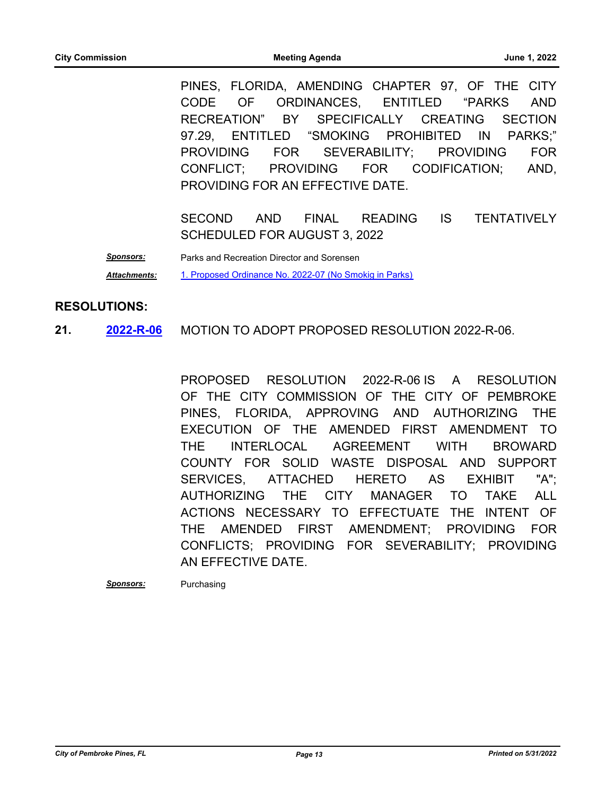PINES, FLORIDA, AMENDING CHAPTER 97, OF THE CITY CODE OF ORDINANCES, ENTITLED "PARKS AND RECREATION" BY SPECIFICALLY CREATING SECTION 97.29, ENTITLED "SMOKING PROHIBITED IN PARKS;" PROVIDING FOR SEVERABILITY; PROVIDING FOR CONFLICT; PROVIDING FOR CODIFICATION; AND, PROVIDING FOR AN EFFECTIVE DATE.

SECOND AND FINAL READING IS TENTATIVELY SCHEDULED FOR AUGUST 3, 2022

*Sponsors:* Parks and Recreation Director and Sorensen *Attachments:* [1. Proposed Ordinance No. 2022-07 \(No Smokig in Parks\)](http://ppines.legistar.com/gateway.aspx?M=F&ID=b43849c3-392d-48e7-89d5-6c9a66b48d80.pdf)

#### **RESOLUTIONS:**

**21.** 2022-R-06 MOTION TO ADOPT PROPOSED RESOLUTION 2022-R-06. **[2022-R-06](http://ppines.legistar.com/gateway.aspx?m=l&id=/matter.aspx?key=15053)**

> PROPOSED RESOLUTION 2022-R-06 IS A RESOLUTION OF THE CITY COMMISSION OF THE CITY OF PEMBROKE PINES, FLORIDA, APPROVING AND AUTHORIZING THE EXECUTION OF THE AMENDED FIRST AMENDMENT TO THE INTERLOCAL AGREEMENT WITH BROWARD COUNTY FOR SOLID WASTE DISPOSAL AND SUPPORT SERVICES, ATTACHED HERETO AS EXHIBIT "A"; AUTHORIZING THE CITY MANAGER TO TAKE ALL ACTIONS NECESSARY TO EFFECTUATE THE INTENT OF THE AMENDED FIRST AMENDMENT; PROVIDING FOR CONFLICTS; PROVIDING FOR SEVERABILITY; PROVIDING AN EFFECTIVE DATE.

*Sponsors:* Purchasing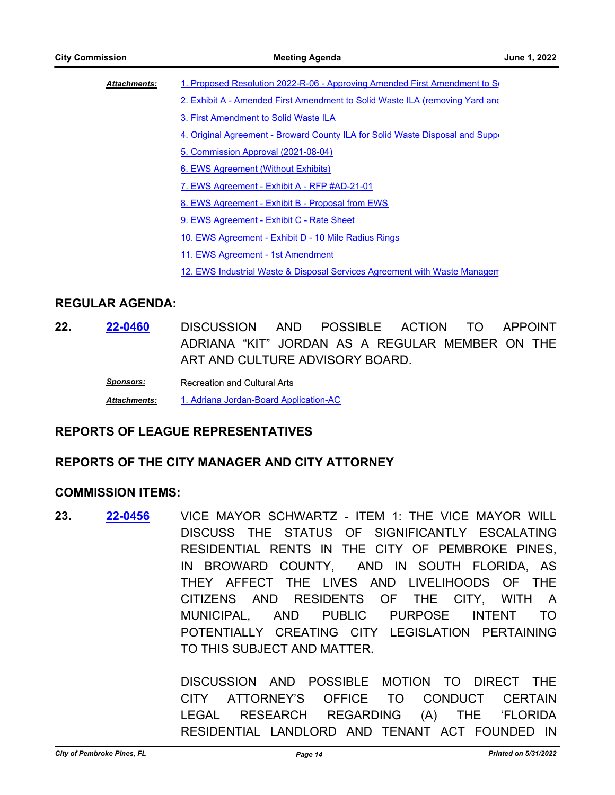| <b>Attachments:</b> | 1. Proposed Resolution 2022-R-06 - Approving Amended First Amendment to S      |
|---------------------|--------------------------------------------------------------------------------|
|                     | 2. Exhibit A - Amended First Amendment to Solid Waste ILA (removing Yard and   |
|                     | 3. First Amendment to Solid Waste ILA                                          |
|                     | 4. Original Agreement - Broward County ILA for Solid Waste Disposal and Supper |
|                     | 5. Commission Approval (2021-08-04)                                            |
|                     | 6. EWS Agreement (Without Exhibits)                                            |
|                     | 7. EWS Agreement - Exhibit A - RFP #AD-21-01                                   |
|                     | 8. EWS Agreement - Exhibit B - Proposal from EWS                               |
|                     | 9. EWS Agreement - Exhibit C - Rate Sheet                                      |
|                     | 10. EWS Agreement - Exhibit D - 10 Mile Radius Rings                           |
|                     | 11. EWS Agreement - 1st Amendment                                              |
|                     | 12. EWS Industrial Waste & Disposal Services Agreement with Waste Managen      |
|                     |                                                                                |
| .                   |                                                                                |

#### **REGULAR AGENDA:**

**22.** DISCUSSION AND POSSIBLE ACTION TO APPOINT ADRIANA "KIT" JORDAN AS A REGULAR MEMBER ON THE ART AND CULTURE ADVISORY BOARD. **[22-0460](http://ppines.legistar.com/gateway.aspx?m=l&id=/matter.aspx?key=15394)**

> **Sponsors:** Recreation and Cultural Arts *Attachments:* [1. Adriana Jordan-Board Application-AC](http://ppines.legistar.com/gateway.aspx?M=F&ID=1deaa170-4496-40d2-be62-1dac2ada6172.pdf)

#### **REPORTS OF LEAGUE REPRESENTATIVES**

# **REPORTS OF THE CITY MANAGER AND CITY ATTORNEY**

#### **COMMISSION ITEMS:**

**23. 22-0456** VICE MAYOR SCHWARTZ - ITEM 1: THE VICE MAYOR WILL DISCUSS THE STATUS OF SIGNIFICANTLY ESCALATING RESIDENTIAL RENTS IN THE CITY OF PEMBROKE PINES, IN BROWARD COUNTY, AND IN SOUTH FLORIDA, AS THEY AFFECT THE LIVES AND LIVELIHOODS OF THE CITIZENS AND RESIDENTS OF THE CITY, WITH A MUNICIPAL, AND PUBLIC PURPOSE INTENT TO POTENTIALLY CREATING CITY LEGISLATION PERTAINING TO THIS SUBJECT AND MATTER. **[22-0456](http://ppines.legistar.com/gateway.aspx?m=l&id=/matter.aspx?key=15390)**

> DISCUSSION AND POSSIBLE MOTION TO DIRECT THE CITY ATTORNEY'S OFFICE TO CONDUCT CERTAIN LEGAL RESEARCH REGARDING (A) THE 'FLORIDA RESIDENTIAL LANDLORD AND TENANT ACT FOUNDED IN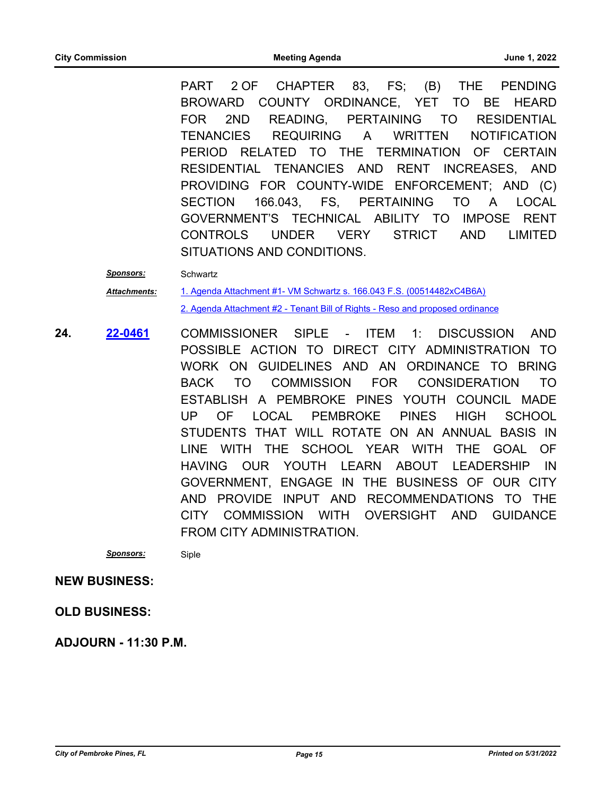PART 2 OF CHAPTER 83, FS; (B) THE PENDING BROWARD COUNTY ORDINANCE, YET TO BE HEARD FOR 2ND READING, PERTAINING TO RESIDENTIAL TENANCIES REQUIRING A WRITTEN NOTIFICATION PERIOD RELATED TO THE TERMINATION OF CERTAIN RESIDENTIAL TENANCIES AND RENT INCREASES, AND PROVIDING FOR COUNTY-WIDE ENFORCEMENT; AND (C) SECTION 166.043, FS, PERTAINING TO A LOCAL GOVERNMENT'S TECHNICAL ABILITY TO IMPOSE RENT CONTROLS UNDER VERY STRICT AND LIMITED SITUATIONS AND CONDITIONS.

*Sponsors:* Schwartz

[1. Agenda Attachment #1- VM Schwartz s. 166.043 F.S. \(00514482xC4B6A\)](http://ppines.legistar.com/gateway.aspx?M=F&ID=315dcd12-5f9a-41b2-9b14-5f1d6c3a392e.pdf) [2. Agenda Attachment #2 - Tenant Bill of Rights - Reso and proposed ordinance](http://ppines.legistar.com/gateway.aspx?M=F&ID=d182c458-8275-4ffa-a7a3-e3099b9c8a91.pdf) *Attachments:*

**24.** COMMISSIONER SIPLE - ITEM 1: DISCUSSION AND POSSIBLE ACTION TO DIRECT CITY ADMINISTRATION TO WORK ON GUIDELINES AND AN ORDINANCE TO BRING BACK TO COMMISSION FOR CONSIDERATION TO ESTABLISH A PEMBROKE PINES YOUTH COUNCIL MADE UP OF LOCAL PEMBROKE PINES HIGH SCHOOL STUDENTS THAT WILL ROTATE ON AN ANNUAL BASIS IN LINE WITH THE SCHOOL YEAR WITH THE GOAL OF HAVING OUR YOUTH LEARN ABOUT LEADERSHIP IN GOVERNMENT, ENGAGE IN THE BUSINESS OF OUR CITY AND PROVIDE INPUT AND RECOMMENDATIONS TO THE CITY COMMISSION WITH OVERSIGHT AND GUIDANCE FROM CITY ADMINISTRATION. **[22-0461](http://ppines.legistar.com/gateway.aspx?m=l&id=/matter.aspx?key=15395)**

*Sponsors:* Siple

#### **NEW BUSINESS:**

**OLD BUSINESS:**

**ADJOURN - 11:30 P.M.**